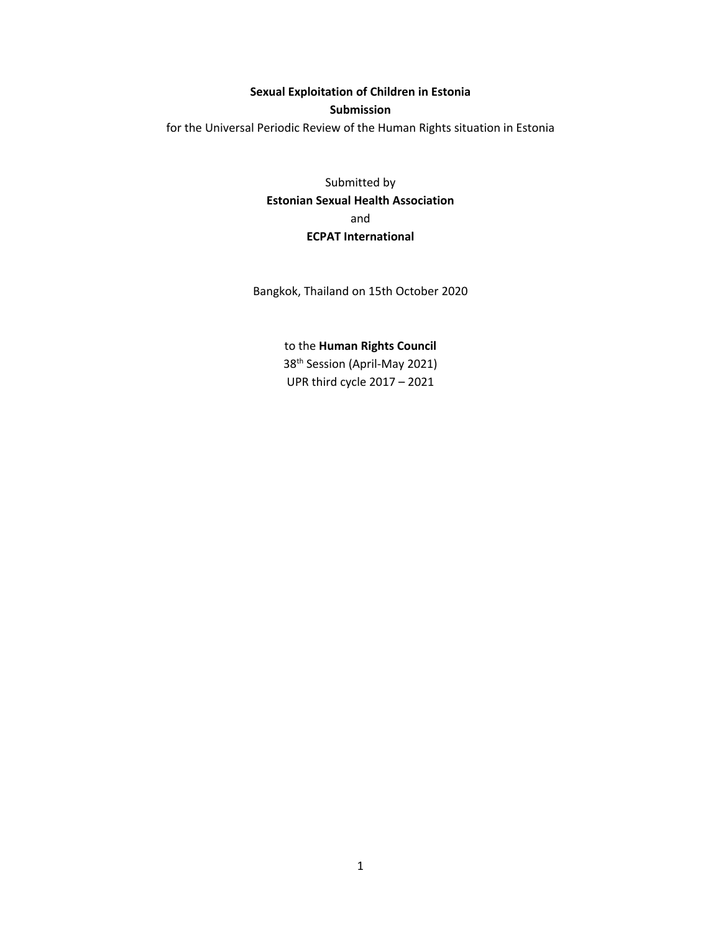**Sexual Exploitation of Children in Estonia**

### **Submission**

for the Universal Periodic Review of the Human Rights situation in Estonia

Submitted by **Estonian Sexual Health Association** and **ECPAT International**

Bangkok, Thailand on 15th October 2020

# to the **Human Rights Council**

38th Session (April-May 2021) UPR third cycle 2017 – 2021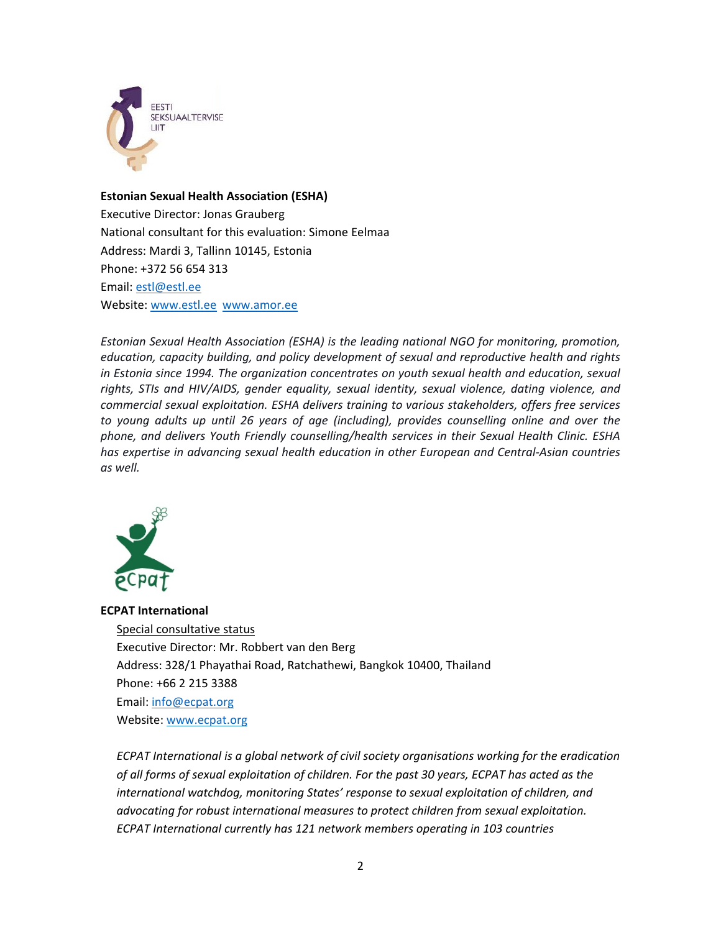

# **Estonian Sexual Health Association (ESHA)**

Executive Director: Jonas Grauberg National consultant for this evaluation: Simone Eelmaa Address: Mardi 3, Tallinn 10145, Estonia Phone: +372 56 654 313 Email: [estl@estl.ee](mailto:estl@estl.ee) Website: [www.estl.ee](http://www.estl.ee/) [www.amor.ee](http://www.amor.ee)

*Estonian Sexual Health Association (ESHA) is the leading national NGO for monitoring, promotion, education, capacity building, and policy development of sexual and reproductive health and rights in Estonia since 1994. The organization concentrates on youth sexual health and education, sexual rights, STIs and HIV/AIDS, gender equality, sexual identity, sexual violence, dating violence, and commercial sexual exploitation. ESHA delivers training to various stakeholders, offers free services to young adults up until 26 years of age (including), provides counselling online and over the phone, and delivers Youth Friendly counselling/health services in their Sexual Health Clinic. ESHA has expertise in advancing sexual health education in other European and Central-Asian countries as well.*



# **ECPAT International**

Special consultative status Executive Director: Mr. Robbert van den Berg Address: 328/1 Phayathai Road, Ratchathewi, Bangkok 10400, Thailand Phone: +66 2 215 3388 Email: [info@ecpat.org](mailto:info@ecpat.org) Website: [www.ecpat.org](http://www.ecpat.org)

*ECPAT International is <sup>a</sup> global network of civil society organisations working for the eradication of all forms of sexual exploitation of children. For the past 30 years, ECPAT has acted as the international watchdog, monitoring States' response to sexual exploitation of children, and advocating for robust international measures to protect children from sexual exploitation. ECPAT International currently has 121 network members operating in 103 countries*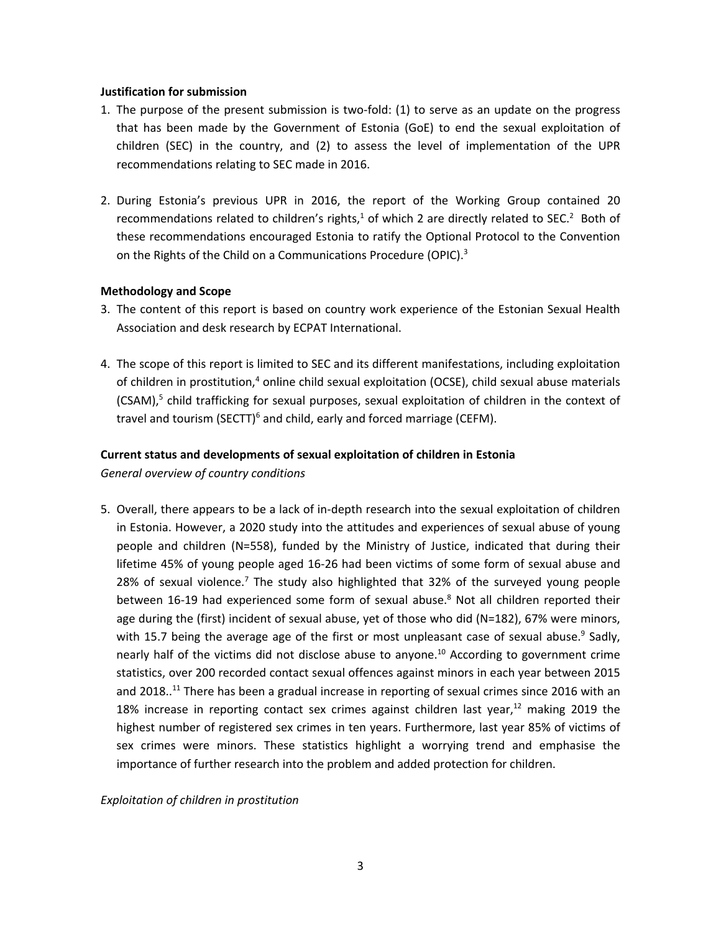### **Justification for submission**

- 1. The purpose of the present submission is two-fold: (1) to serve as an update on the progress that has been made by the Government of Estonia (GoE) to end the sexual exploitation of children (SEC) in the country, and (2) to assess the level of implementation of the UPR recommendations relating to SEC made in 2016.
- 2. During Estonia'<sup>s</sup> previous UPR in 2016, the report of the Working Group contained 20 recommendations related to children's rights,<sup>1</sup> of which 2 are directly related to SEC.<sup>2</sup> Both of these recommendations encouraged Estonia to ratify the Optional Protocol to the Convention on the Rights of the Child on a Communications Procedure (OPIC).<sup>3</sup>

# **Methodology and Scope**

- 3. The content of this report is based on country work experience of the Estonian Sexual Health Association and desk research by ECPAT International.
- 4. The scope of this report is limited to SEC and its different manifestations, including exploitation of children in prostitution,<sup>4</sup> online child sexual exploitation (OCSE), child sexual abuse materials (CSAM),<sup>5</sup> child trafficking for sexual purposes, sexual exploitation of children in the context of travel and tourism (SECTT)<sup>6</sup> and child, early and forced marriage (CEFM).

# **Current status and developments of sexual exploitation of children in Estonia**

*General overview of country conditions*

5. Overall, there appears to be <sup>a</sup> lack of in-depth research into the sexual exploitation of children in Estonia. However, <sup>a</sup> 2020 study into the attitudes and experiences of sexual abuse of young people and children (N=558), funded by the Ministry of Justice, indicated that during their lifetime 45% of young people aged 16-26 had been victims of some form of sexual abuse and 28% of sexual violence.<sup>7</sup> The study also highlighted that 32% of the surveyed young people between 16-19 had experienced some form of sexual abuse. 8 Not all children reported their age during the (first) incident of sexual abuse, yet of those who did (N=182), 67% were minors, with 15.7 being the average age of the first or most unpleasant case of sexual abuse.<sup>9</sup> Sadly, nearly half of the victims did not disclose abuse to anyone.<sup>10</sup> According to government crime statistics, over 200 recorded contact sexual offences against minors in each year between 2015 and 2018..<sup>11</sup> There has been a gradual increase in reporting of sexual crimes since 2016 with an 18% increase in reporting contact sex crimes against children last year, $^{12}$  making 2019 the highest number of registered sex crimes in ten years. Furthermore, last year 85% of victims of sex crimes were minors. These statistics highlight <sup>a</sup> worrying trend and emphasise the importance of further research into the problem and added protection for children.

*Exploitation of children in prostitution*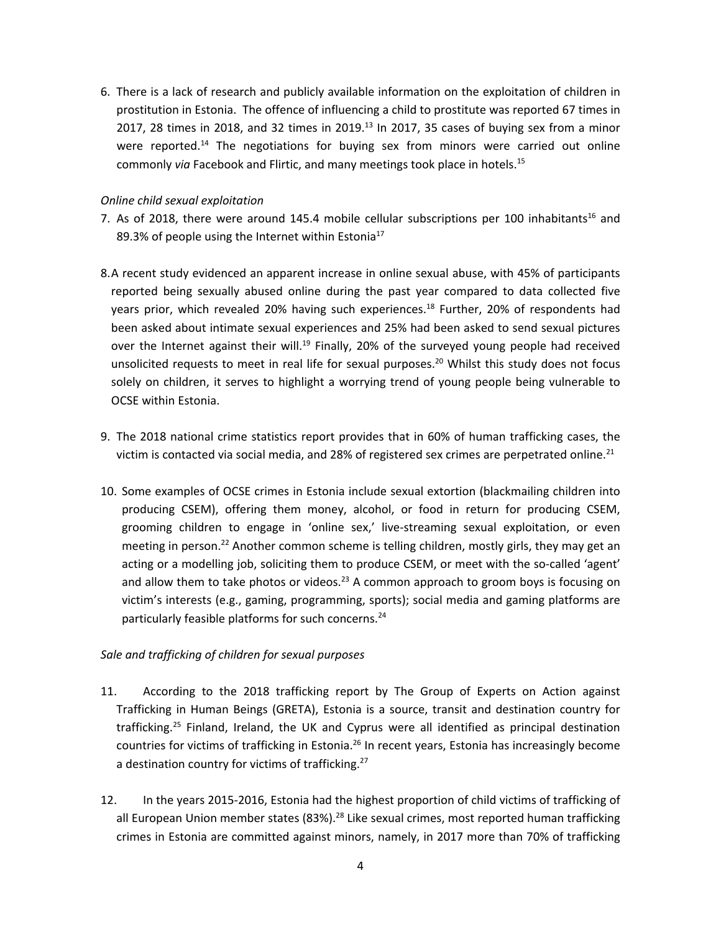6. There is <sup>a</sup> lack of research and publicly available information on the exploitation of children in prostitution in Estonia. The offence of influencing <sup>a</sup> child to prostitute was reported 67 times in 2017, 28 times in 2018, and 32 times in 2019. $^{13}$  In 2017, 35 cases of buying sex from a minor were reported.<sup>14</sup> The negotiations for buying sex from minors were carried out online commonly *via* Facebook and Flirtic, and many meetings took place in hotels. 15

# *Online child sexual exploitation*

- 7. As of 2018, there were around 145.4 mobile cellular subscriptions per 100 inhabitants $^{16}$  and 89.3% of people using the Internet within Estonia<sup>17</sup>
- 8.A recent study evidenced an apparent increase in online sexual abuse, with 45% of participants reported being sexually abused online during the past year compared to data collected five years prior, which revealed 20% having such experiences.<sup>18</sup> Further, 20% of respondents had been asked about intimate sexual experiences and 25% had been asked to send sexual pictures over the Internet against their will.<sup>19</sup> Finally, 20% of the surveyed young people had received unsolicited requests to meet in real life for sexual purposes.<sup>20</sup> Whilst this study does not focus solely on children, it serves to highlight <sup>a</sup> worrying trend of young people being vulnerable to OCSE within Estonia.
- 9. The 2018 national crime statistics report provides that in 60% of human trafficking cases, the victim is contacted via social media, and 28% of registered sex crimes are perpetrated online.<sup>21</sup>
- 10. Some examples of OCSE crimes in Estonia include sexual extortion (blackmailing children into producing CSEM), offering them money, alcohol, or food in return for producing CSEM, grooming children to engage in 'online sex,' live-streaming sexual exploitation, or even meeting in person.<sup>22</sup> Another common scheme is telling children, mostly girls, they may get an acting or <sup>a</sup> modelling job, soliciting them to produce CSEM, or meet with the so-called 'agent' and allow them to take photos or videos.<sup>23</sup> A common approach to groom boys is focusing on victim'<sup>s</sup> interests (e.g., gaming, programming, sports); social media and gaming platforms are particularly feasible platforms for such concerns. 24

# *Sale and trafficking of children for sexual purposes*

- 11. According to the 2018 trafficking report by The Group of Experts on Action against Trafficking in Human Beings (GRETA), Estonia is <sup>a</sup> source, transit and destination country for trafficking.<sup>25</sup> Finland, Ireland, the UK and Cyprus were all identified as principal destination countries for victims of trafficking in Estonia.<sup>26</sup> In recent years, Estonia has increasingly become a destination country for victims of trafficking.<sup>27</sup>
- 12. In the years 2015-2016, Estonia had the highest proportion of child victims of trafficking of all European Union member states (83%).<sup>28</sup> Like sexual crimes, most reported human trafficking crimes in Estonia are committed against minors, namely, in 2017 more than 70% of trafficking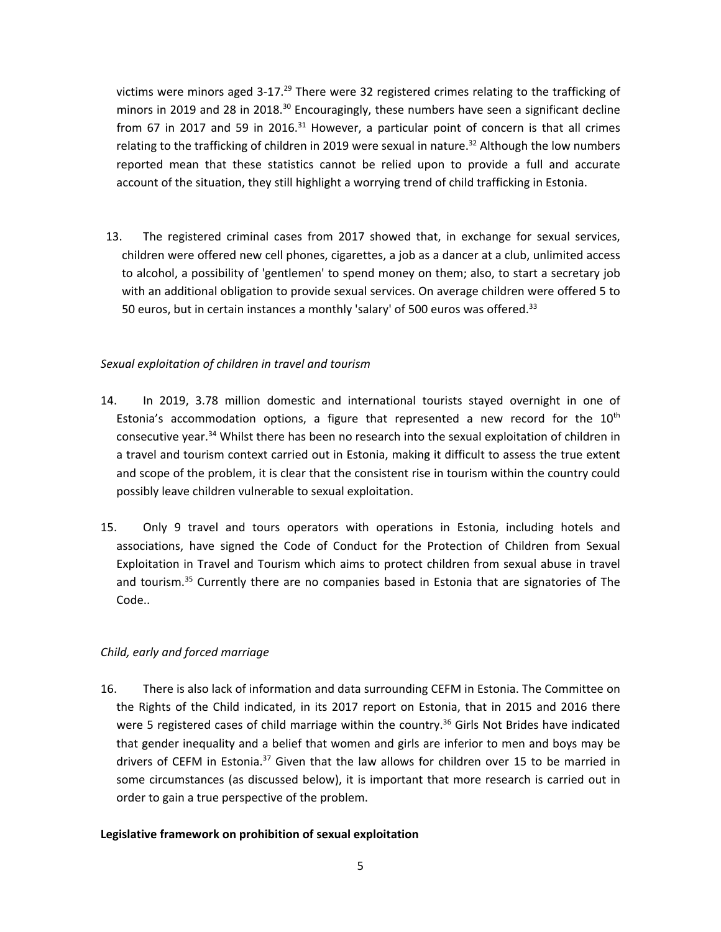victims were minors aged 3-17.<sup>29</sup> There were 32 registered crimes relating to the trafficking of minors in 2019 and 28 in 2018.<sup>30</sup> Encouragingly, these numbers have seen a significant decline from 67 in 2017 and 59 in 2016.<sup>31</sup> However, a particular point of concern is that all crimes relating to the trafficking of children in 2019 were sexual in nature.<sup>32</sup> Although the low numbers reported mean that these statistics cannot be relied upon to provide <sup>a</sup> full and accurate account of the situation, they still highlight <sup>a</sup> worrying trend of child trafficking in Estonia.

13. The registered criminal cases from 2017 showed that, in exchange for sexual services, children were offered new cell phones, cigarettes, <sup>a</sup> job as <sup>a</sup> dancer at <sup>a</sup> club, unlimited access to alcohol, <sup>a</sup> possibility of 'gentlemen' to spend money on them; also, to start <sup>a</sup> secretary job with an additional obligation to provide sexual services. On average children were offered 5 to 50 euros, but in certain instances a monthly 'salary' of 500 euros was offered.<sup>33</sup>

# *Sexual exploitation of children in travel and tourism*

- 14. In 2019, 3.78 million domestic and international tourists stayed overnight in one of Estonia's accommodation options, a figure that represented a new record for the  $10<sup>th</sup>$ consecutive year.<sup>34</sup> Whilst there has been no research into the sexual exploitation of children in <sup>a</sup> travel and tourism context carried out in Estonia, making it difficult to assess the true extent and scope of the problem, it is clear that the consistent rise in tourism within the country could possibly leave children vulnerable to sexual exploitation.
- 15. Only 9 travel and tours operators with operations in Estonia, including hotels and associations, have signed the Code of Conduct for the Protection of Children from Sexual Exploitation in Travel and Tourism which aims to protect children from sexual abuse in travel and tourism.<sup>35</sup> Currently there are no companies based in Estonia that are signatories of The Code..

# *Child, early and forced marriage*

16. There is also lack of information and data surrounding CEFM in Estonia. The Committee on the Rights of the Child indicated, in its 2017 report on Estonia, that in 2015 and 2016 there were 5 registered cases of child marriage within the country.<sup>36</sup> Girls Not Brides have indicated that gender inequality and <sup>a</sup> belief that women and girls are inferior to men and boys may be drivers of CEFM in Estonia. $^{37}$  Given that the law allows for children over 15 to be married in some circumstances (as discussed below), it is important that more research is carried out in order to gain <sup>a</sup> true perspective of the problem.

# **Legislative framework on prohibition of sexual exploitation**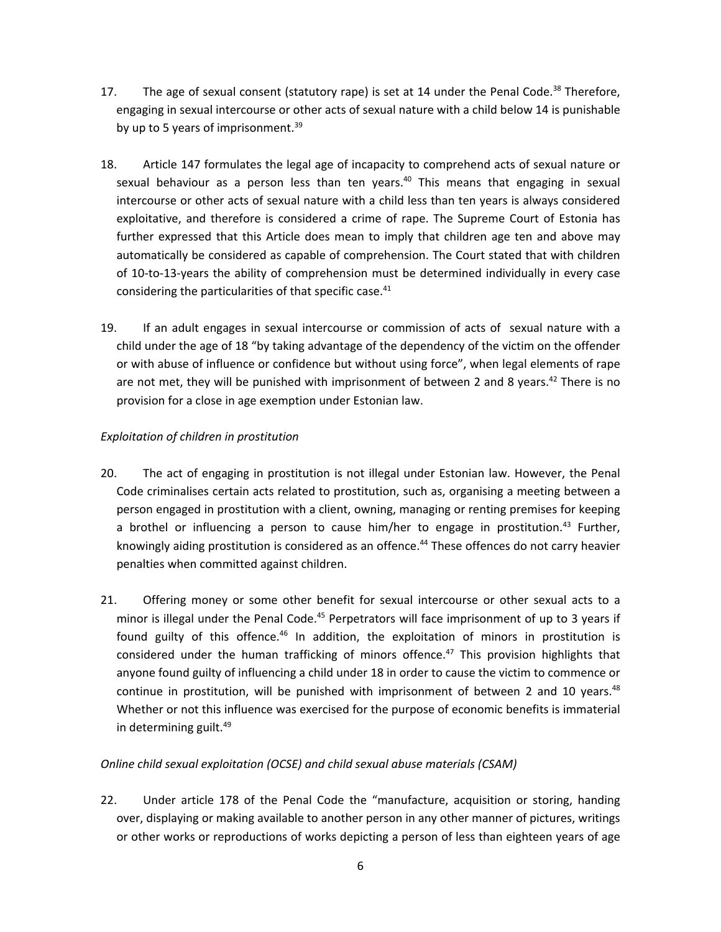- 17. The age of sexual consent (statutory rape) is set at 14 under the Penal Code.<sup>38</sup> Therefore, engaging in sexual intercourse or other acts of sexual nature with <sup>a</sup> child below 14 is punishable by up to 5 years of imprisonment.<sup>39</sup>
- 18. Article 147 formulates the legal age of incapacity to comprehend acts of sexual nature or sexual behaviour as <sup>a</sup> person less than ten years. 40 This means that engaging in sexual intercourse or other acts of sexual nature with <sup>a</sup> child less than ten years is always considered exploitative, and therefore is considered <sup>a</sup> crime of rape. The Supreme Court of Estonia has further expressed that this Article does mean to imply that children age ten and above may automatically be considered as capable of comprehension. The Court stated that with children of 10-to-13-years the ability of comprehension must be determined individually in every case considering the particularities of that specific case. 41
- 19. If an adult engages in sexual intercourse or commission of acts of sexual nature with <sup>a</sup> child under the age of 18 "by taking advantage of the dependency of the victim on the offender or with abuse of influence or confidence but without using force", when legal elements of rape are not met, they will be punished with imprisonment of between 2 and 8 years.<sup>42</sup> There is no provision for <sup>a</sup> close in age exemption under Estonian law.

# *Exploitation of children in prostitution*

- 20. The act of engaging in prostitution is not illegal under Estonian law. However, the Penal Code criminalises certain acts related to prostitution, such as, organising <sup>a</sup> meeting between <sup>a</sup> person engaged in prostitution with <sup>a</sup> client, owning, managing or renting premises for keeping a brothel or influencing a person to cause him/her to engage in prostitution.<sup>43</sup> Further, knowingly aiding prostitution is considered as an offence. 44 These offences do not carry heavier penalties when committed against children.
- 21. Offering money or some other benefit for sexual intercourse or other sexual acts to <sup>a</sup> minor is illegal under the Penal Code.<sup>45</sup> Perpetrators will face imprisonment of up to 3 years if found guilty of this offence.<sup>46</sup> In addition, the exploitation of minors in prostitution is considered under the human trafficking of minors offence. 47 This provision highlights that anyone found guilty of influencing <sup>a</sup> child under 18 in order to cause the victim to commence or continue in prostitution, will be punished with imprisonment of between 2 and 10 years.<sup>48</sup> Whether or not this influence was exercised for the purpose of economic benefits is immaterial in determining guilt. 49

# *Online child sexual exploitation (OCSE) and child sexual abuse materials (CSAM)*

22. Under article 178 of the Penal Code the "manufacture, acquisition or storing, handing over, displaying or making available to another person in any other manner of pictures, writings or other works or reproductions of works depicting <sup>a</sup> person of less than eighteen years of age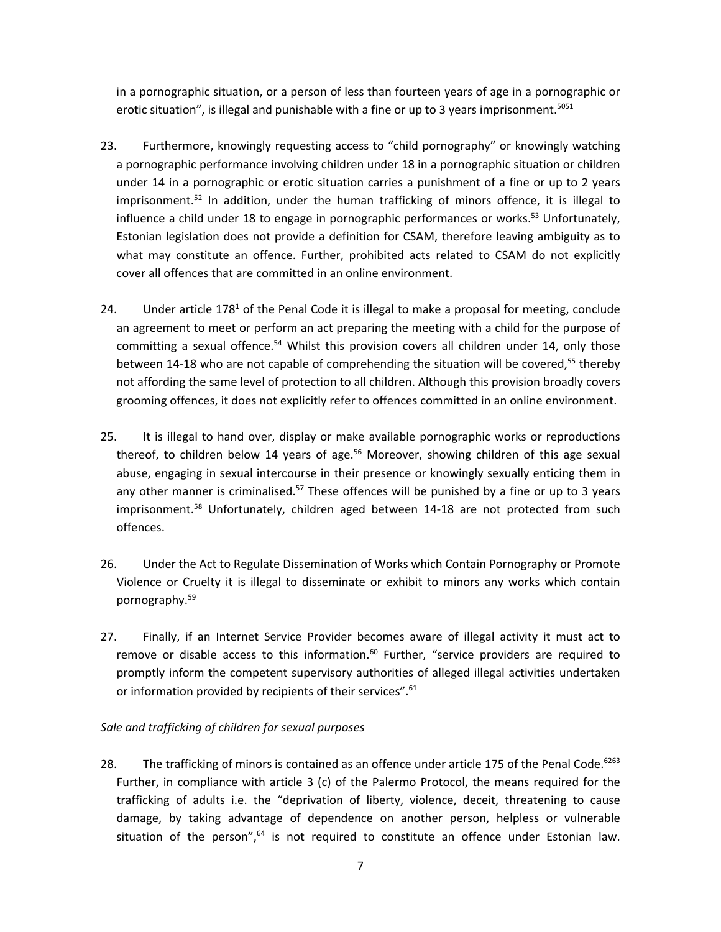in <sup>a</sup> pornographic situation, or <sup>a</sup> person of less than fourteen years of age in <sup>a</sup> pornographic or erotic situation", is illegal and punishable with a fine or up to 3 years imprisonment.<sup>5051</sup>

- 23. Furthermore, knowingly requesting access to "child pornography" or knowingly watching <sup>a</sup> pornographic performance involving children under 18 in <sup>a</sup> pornographic situation or children under 14 in <sup>a</sup> pornographic or erotic situation carries <sup>a</sup> punishment of <sup>a</sup> fine or up to 2 years imprisonment.<sup>52</sup> In addition, under the human trafficking of minors offence, it is illegal to influence a child under 18 to engage in pornographic performances or works.<sup>53</sup> Unfortunately, Estonian legislation does not provide <sup>a</sup> definition for CSAM, therefore leaving ambiguity as to what may constitute an offence. Further, prohibited acts related to CSAM do not explicitly cover all offences that are committed in an online environment.
- 24. Under article 178<sup>1</sup> of the Penal Code it is illegal to make a proposal for meeting, conclude an agreement to meet or perform an act preparing the meeting with <sup>a</sup> child for the purpose of committing a sexual offence.<sup>54</sup> Whilst this provision covers all children under 14, only those between 14-18 who are not capable of comprehending the situation will be covered,<sup>55</sup> thereby not affording the same level of protection to all children. Although this provision broadly covers grooming offences, it does not explicitly refer to offences committed in an online environment.
- 25. It is illegal to hand over, display or make available pornographic works or reproductions thereof, to children below 14 years of age.<sup>56</sup> Moreover, showing children of this age sexual abuse, engaging in sexual intercourse in their presence or knowingly sexually enticing them in any other manner is criminalised.<sup>57</sup> These offences will be punished by a fine or up to 3 years imprisonment.<sup>58</sup> Unfortunately, children aged between 14-18 are not protected from such offences.
- 26. Under the Act to Regulate Dissemination of Works which Contain Pornography or Promote Violence or Cruelty it is illegal to disseminate or exhibit to minors any works which contain pornography. 59
- 27. Finally, if an Internet Service Provider becomes aware of illegal activity it must act to remove or disable access to this information.<sup>60</sup> Further, "service providers are required to promptly inform the competent supervisory authorities of alleged illegal activities undertaken or information provided by recipients of their services".<sup>61</sup>

*Sale and trafficking of children for sexual purposes*

28. The trafficking of minors is contained as an offence under article 175 of the Penal Code.<sup>6263</sup> Further, in compliance with article 3 (c) of the Palermo Protocol, the means required for the trafficking of adults i.e. the "deprivation of liberty, violence, deceit, threatening to cause damage, by taking advantage of dependence on another person, helpless or vulnerable situation of the person",<sup>64</sup> is not required to constitute an offence under Estonian law.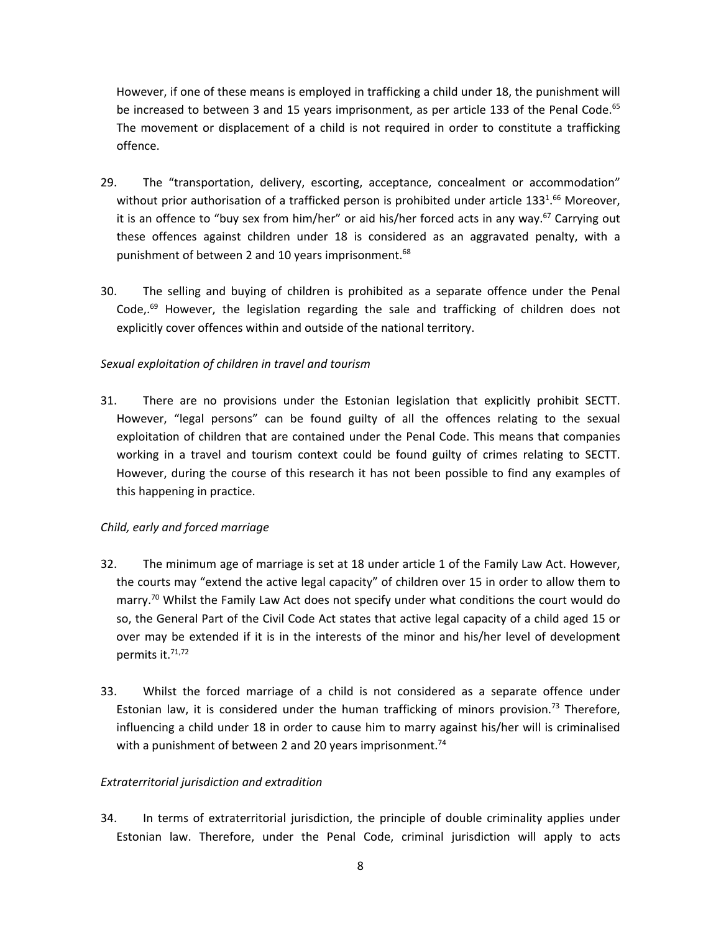However, if one of these means is employed in trafficking <sup>a</sup> child under 18, the punishment will be increased to between 3 and 15 years imprisonment, as per article 133 of the Penal Code.<sup>65</sup> The movement or displacement of <sup>a</sup> child is not required in order to constitute <sup>a</sup> trafficking offence.

- 29. The "transportation, delivery, escorting, acceptance, concealment or accommodation" without prior authorisation of a trafficked person is prohibited under article 133 $^{1.66}\,$  Moreover, it is an offence to "buy sex from him/her" or aid his/her forced acts in any way.<sup>67</sup> Carrying out these offences against children under 18 is considered as an aggravated penalty, with <sup>a</sup> punishment of between 2 and 10 years imprisonment.<sup>68</sup>
- 30. The selling and buying of children is prohibited as <sup>a</sup> separate offence under the Penal Code,.<sup>69</sup> However, the legislation regarding the sale and trafficking of children does not explicitly cover offences within and outside of the national territory.

# *Sexual exploitation of children in travel and tourism*

31. There are no provisions under the Estonian legislation that explicitly prohibit SECTT. However, "legal persons" can be found guilty of all the offences relating to the sexual exploitation of children that are contained under the Penal Code. This means that companies working in <sup>a</sup> travel and tourism context could be found guilty of crimes relating to SECTT. However, during the course of this research it has not been possible to find any examples of this happening in practice.

# *Child, early and forced marriage*

- 32. The minimum age of marriage is set at 18 under article 1 of the Family Law Act. However, the courts may "extend the active legal capacity" of children over 15 in order to allow them to marry.<sup>70</sup> Whilst the Family Law Act does not specify under what conditions the court would do so, the General Part of the Civil Code Act states that active legal capacity of <sup>a</sup> child aged 15 or over may be extended if it is in the interests of the minor and his/her level of development permits it.<sup>71,72</sup>
- 33. Whilst the forced marriage of <sup>a</sup> child is not considered as <sup>a</sup> separate offence under Estonian law, it is considered under the human trafficking of minors provision.<sup>73</sup> Therefore, influencing <sup>a</sup> child under 18 in order to cause him to marry against his/her will is criminalised with a punishment of between 2 and 20 years imprisonment.<sup>74</sup>

# *Extraterritorial jurisdiction and extradition*

34. In terms of extraterritorial jurisdiction, the principle of double criminality applies under Estonian law. Therefore, under the Penal Code, criminal jurisdiction will apply to acts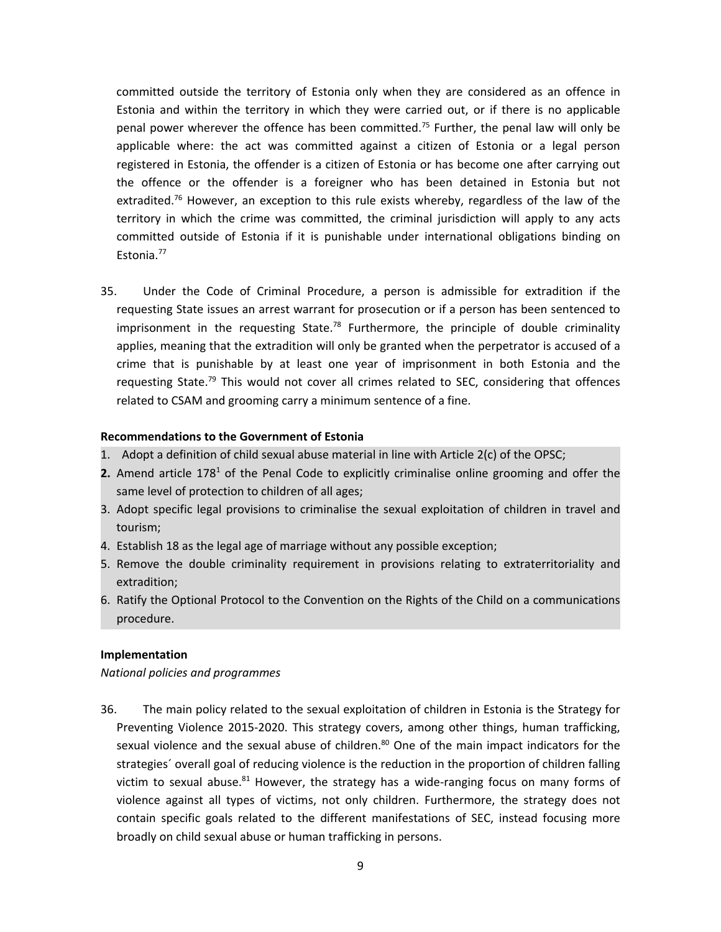committed outside the territory of Estonia only when they are considered as an offence in Estonia and within the territory in which they were carried out, or if there is no applicable penal power wherever the offence has been committed.<sup>75</sup> Further, the penal law will only be applicable where: the act was committed against <sup>a</sup> citizen of Estonia or <sup>a</sup> legal person registered in Estonia, the offender is <sup>a</sup> citizen of Estonia or has become one after carrying out the offence or the offender is <sup>a</sup> foreigner who has been detained in Estonia but not extradited.<sup>76</sup> However, an exception to this rule exists whereby, regardless of the law of the territory in which the crime was committed, the criminal jurisdiction will apply to any acts committed outside of Estonia if it is punishable under international obligations binding on Estonia. 77

35. Under the Code of Criminal Procedure, <sup>a</sup> person is admissible for extradition if the requesting State issues an arrest warrant for prosecution or if <sup>a</sup> person has been sentenced to imprisonment in the requesting State.<sup>78</sup> Furthermore, the principle of double criminality applies, meaning that the extradition will only be granted when the perpetrator is accused of <sup>a</sup> crime that is punishable by at least one year of imprisonment in both Estonia and the requesting State.<sup>79</sup> This would not cover all crimes related to SEC, considering that offences related to CSAM and grooming carry <sup>a</sup> minimum sentence of <sup>a</sup> fine.

### **Recommendations to the Government of Estonia**

- 1. Adopt <sup>a</sup> definition of child sexual abuse material in line with Article 2(c) of the OPSC;
- **2.** Amend article 178<sup>1</sup> of the Penal Code to explicitly criminalise online grooming and offer the same level of protection to children of all ages;
- 3. Adopt specific legal provisions to criminalise the sexual exploitation of children in travel and tourism;
- 4. Establish 18 as the legal age of marriage without any possible exception;
- 5. Remove the double criminality requirement in provisions relating to extraterritoriality and extradition;
- 6. Ratify the Optional Protocol to the Convention on the Rights of the Child on <sup>a</sup> communications procedure.

#### **Implementation**

*National policies and programmes*

36. The main policy related to the sexual exploitation of children in Estonia is the Strategy for Preventing Violence 2015-2020. This strategy covers, among other things, human trafficking, sexual violence and the sexual abuse of children.<sup>80</sup> One of the main impact indicators for the strategies´ overall goal of reducing violence is the reduction in the proportion of children falling victim to sexual abuse.<sup>81</sup> However, the strategy has a wide-ranging focus on many forms of violence against all types of victims, not only children. Furthermore, the strategy does not contain specific goals related to the different manifestations of SEC, instead focusing more broadly on child sexual abuse or human trafficking in persons.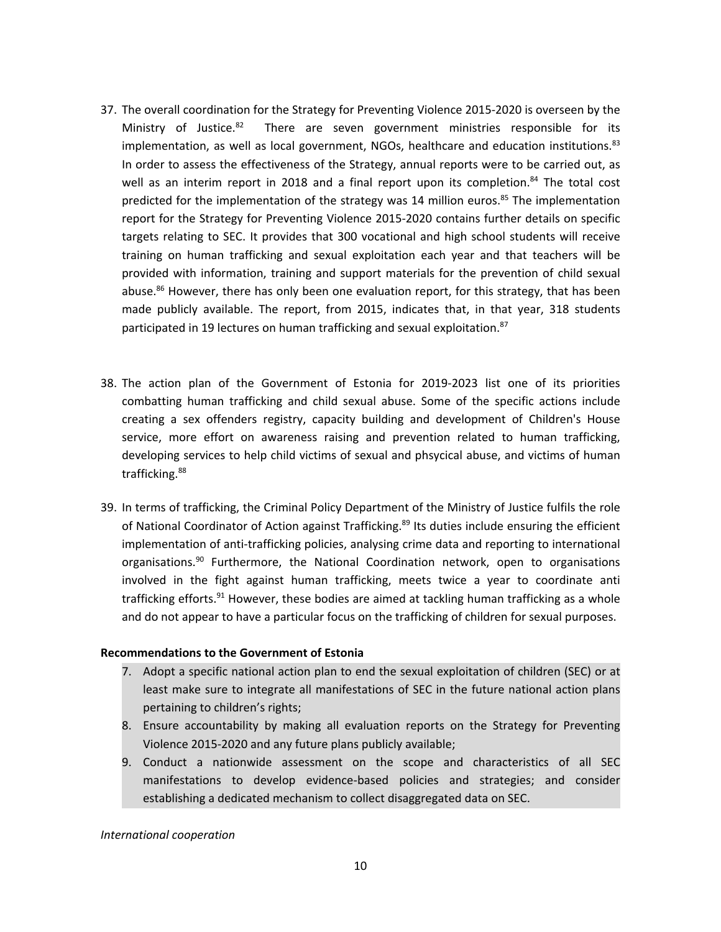- 37. The overall coordination for the Strategy for Preventing Violence 2015-2020 is overseen by the Ministry of Justice.<sup>82</sup> There are seven government ministries responsible for its implementation, as well as local government, NGOs, healthcare and education institutions.<sup>83</sup> In order to assess the effectiveness of the Strategy, annual reports were to be carried out, as well as an interim report in 2018 and a final report upon its completion.<sup>84</sup> The total cost predicted for the implementation of the strategy was 14 million euros.<sup>85</sup> The implementation report for the Strategy for Preventing Violence 2015-2020 contains further details on specific targets relating to SEC. It provides that 300 vocational and high school students will receive training on human trafficking and sexual exploitation each year and that teachers will be provided with information, training and support materials for the prevention of child sexual abuse.<sup>86</sup> However, there has only been one evaluation report, for this strategy, that has been made publicly available. The report, from 2015, indicates that, in that year, 318 students participated in 19 lectures on human trafficking and sexual exploitation.<sup>87</sup>
- 38. The action plan of the Government of Estonia for 2019-2023 list one of its priorities combatting human trafficking and child sexual abuse. Some of the specific actions include creating <sup>a</sup> sex offenders registry, capacity building and development of Children's House service, more effort on awareness raising and prevention related to human trafficking, developing services to help child victims of sexual and phsycical abuse, and victims of human trafficking.<sup>88</sup>
- 39. In terms of trafficking, the Criminal Policy Department of the Ministry of Justice fulfils the role of National Coordinator of Action against Trafficking.<sup>89</sup> Its duties include ensuring the efficient implementation of anti-trafficking policies, analysing crime data and reporting to international organisations.<sup>90</sup> Furthermore, the National Coordination network, open to organisations involved in the fight against human trafficking, meets twice <sup>a</sup> year to coordinate anti trafficking efforts.<sup>91</sup> However, these bodies are aimed at tackling human trafficking as a whole and do not appear to have <sup>a</sup> particular focus on the trafficking of children for sexual purposes.

### **Recommendations to the Government of Estonia**

- 7. Adopt <sup>a</sup> specific national action plan to end the sexual exploitation of children (SEC) or at least make sure to integrate all manifestations of SEC in the future national action plans pertaining to children'<sup>s</sup> rights;
- 8. Ensure accountability by making all evaluation reports on the Strategy for Preventing Violence 2015-2020 and any future plans publicly available;
- 9. Conduct <sup>a</sup> nationwide assessment on the scope and characteristics of all SEC manifestations to develop evidence-based policies and strategies; and consider establishing <sup>a</sup> dedicated mechanism to collect disaggregated data on SEC.

*International cooperation*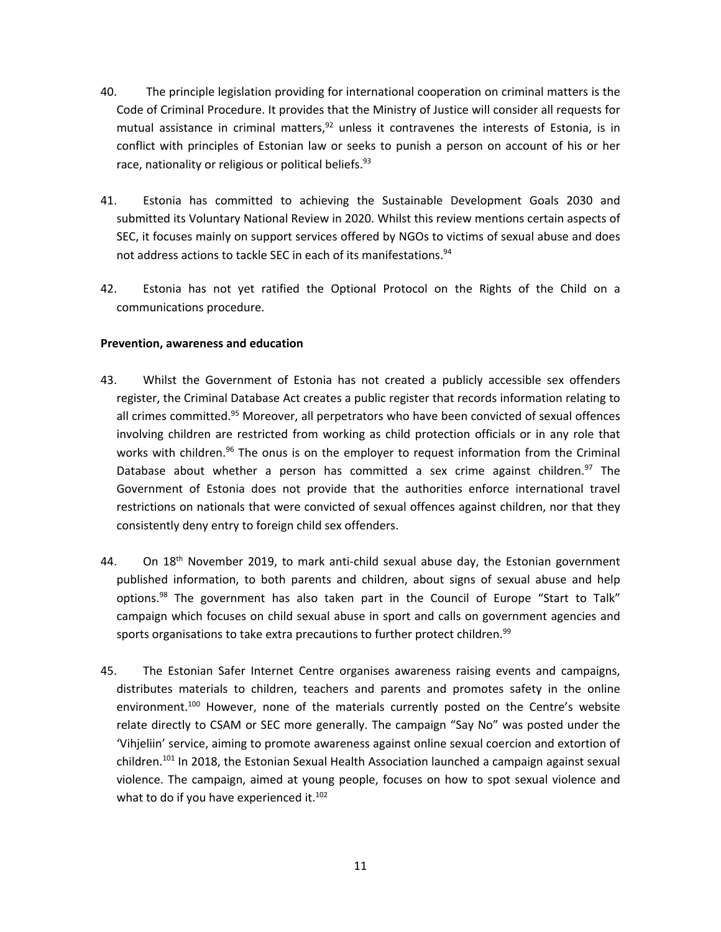- 40. The principle legislation providing for international cooperation on criminal matters is the Code of Criminal Procedure. It provides that the Ministry of Justice will consider all requests for mutual assistance in criminal matters, $92$  unless it contravenes the interests of Estonia, is in conflict with principles of Estonian law or seeks to punish <sup>a</sup> person on account of his or her race, nationality or religious or political beliefs.<sup>93</sup>
- 41. Estonia has committed to achieving the Sustainable Development Goals 2030 and submitted its Voluntary National Review in 2020. Whilst this review mentions certain aspects of SEC, it focuses mainly on support services offered by NGOs to victims of sexual abuse and does not address actions to tackle SEC in each of its manifestations. $^{94}$
- 42. Estonia has not yet ratified the Optional Protocol on the Rights of the Child on <sup>a</sup> communications procedure.

# **Prevention, awareness and education**

- 43. Whilst the Government of Estonia has not created <sup>a</sup> publicly accessible sex offenders register, the Criminal Database Act creates <sup>a</sup> public register that records information relating to all crimes committed.<sup>95</sup> Moreover, all perpetrators who have been convicted of sexual offences involving children are restricted from working as child protection officials or in any role that works with children.<sup>96</sup> The onus is on the employer to request information from the Criminal Database about whether a person has committed a sex crime against children.<sup>97</sup> The Government of Estonia does not provide that the authorities enforce international travel restrictions on nationals that were convicted of sexual offences against children, nor that they consistently deny entry to foreign child sex offenders.
- 44. On 18<sup>th</sup> November 2019, to mark anti-child sexual abuse day, the Estonian government published information, to both parents and children, about signs of sexual abuse and help options.<sup>98</sup> The government has also taken part in the Council of Europe "Start to Talk" campaign which focuses on child sexual abuse in sport and calls on government agencies and sports organisations to take extra precautions to further protect children.<sup>99</sup>
- 45. The Estonian Safer Internet Centre organises awareness raising events and campaigns, distributes materials to children, teachers and parents and promotes safety in the online environment.<sup>100</sup> However, none of the materials currently posted on the Centre's website relate directly to CSAM or SEC more generally. The campaign "Say No" was posted under the 'Vihjeliin' service, aiming to promote awareness against online sexual coercion and extortion of children.<sup>101</sup> In 2018, the Estonian Sexual Health Association launched a campaign against sexual violence. The campaign, aimed at young people, focuses on how to spot sexual violence and what to do if you have experienced it.<sup>102</sup>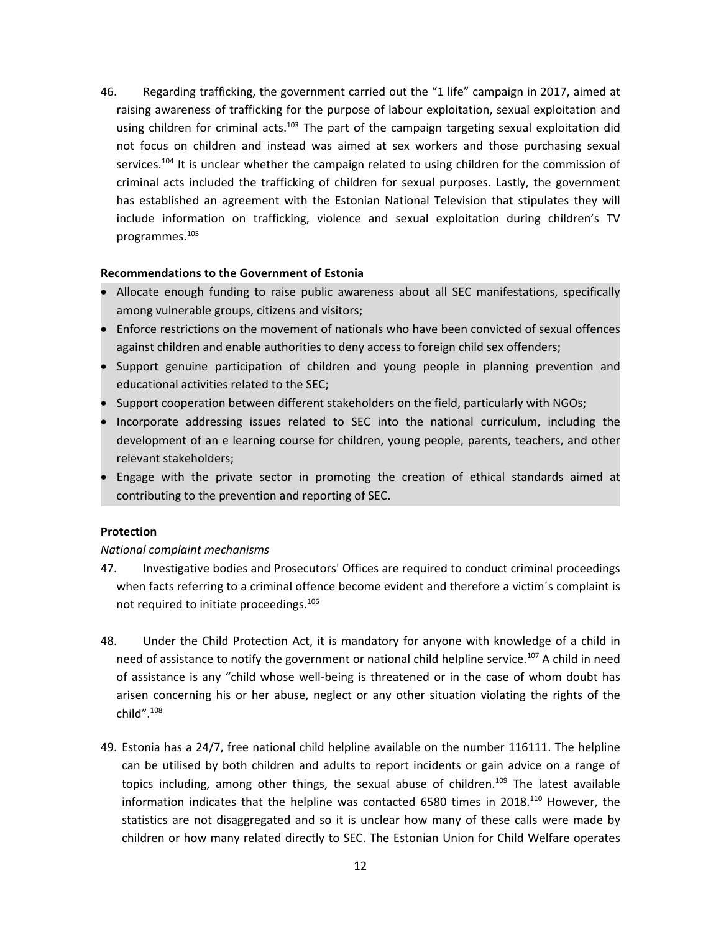46. Regarding trafficking, the government carried out the "1 life" campaign in 2017, aimed at raising awareness of trafficking for the purpose of labour exploitation, sexual exploitation and using children for criminal acts.<sup>103</sup> The part of the campaign targeting sexual exploitation did not focus on children and instead was aimed at sex workers and those purchasing sexual services.<sup>104</sup> It is unclear whether the campaign related to using children for the commission of criminal acts included the trafficking of children for sexual purposes. Lastly, the government has established an agreement with the Estonian National Television that stipulates they will include information on trafficking, violence and sexual exploitation during children'<sup>s</sup> TV programmes. 105

#### **Recommendations to the Government of Estonia**

- C Allocate enough funding to raise public awareness about all SEC manifestations, specifically among vulnerable groups, citizens and visitors;
- Enforce restrictions on the movement of nationals who have been convicted of sexual offences against children and enable authorities to deny access to foreign child sex offenders;
- Support genuine participation of children and young people in planning prevention and educational activities related to the SEC;
- Support cooperation between different stakeholders on the field, particularly with NGOs;
- c Incorporate addressing issues related to SEC into the national curriculum, including the development of an <sup>e</sup> learning course for children, young people, parents, teachers, and other relevant stakeholders;
- Engage with the private sector in promoting the creation of ethical standards aimed at contributing to the prevention and reporting of SEC.

### **Protection**

#### *National complaint mechanisms*

- 47. Investigative bodies and Prosecutors' Offices are required to conduct criminal proceedings when facts referring to a criminal offence become evident and therefore a victim's complaint is not required to initiate proceedings.<sup>106</sup>
- 48. Under the Child Protection Act, it is mandatory for anyone with knowledge of <sup>a</sup> child in need of assistance to notify the government or national child helpline service.<sup>107</sup> A child in need of assistance is any "child whose well-being is threatened or in the case of whom doubt has arisen concerning his or her abuse, neglect or any other situation violating the rights of the child".<sup>108</sup>
- 49. Estonia has <sup>a</sup> 24/7, free national child helpline available on the number 116111. The helpline can be utilised by both children and adults to report incidents or gain advice on <sup>a</sup> range of topics including, among other things, the sexual abuse of children.<sup>109</sup> The latest available information indicates that the helpline was contacted 6580 times in 2018. $^{\rm 110}$  However, the statistics are not disaggregated and so it is unclear how many of these calls were made by children or how many related directly to SEC. The Estonian Union for Child Welfare operates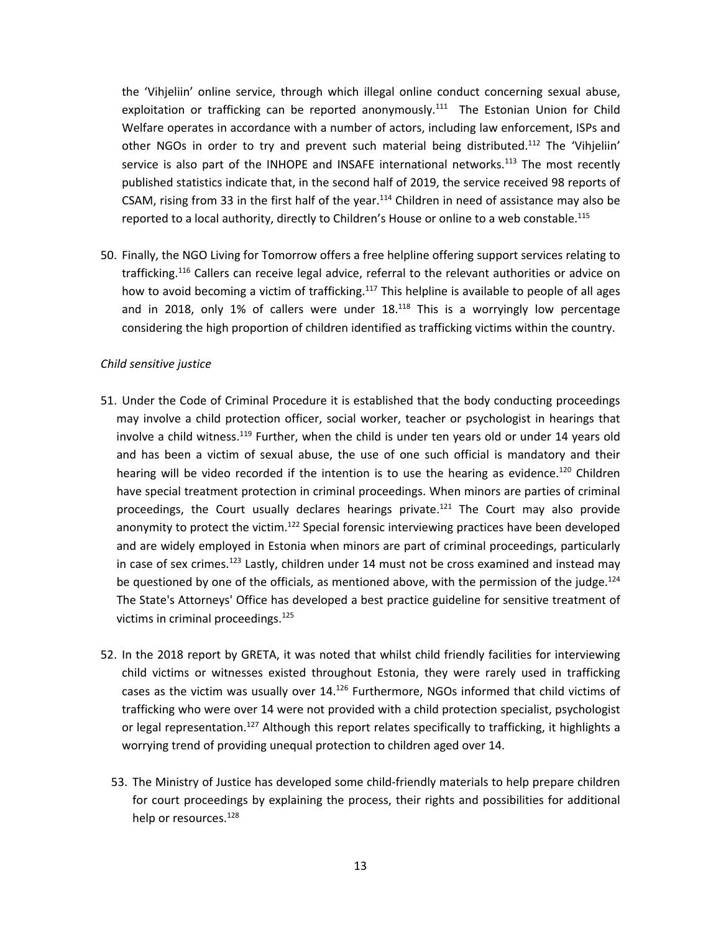the 'Vihjeliin' online service, through which illegal online conduct concerning sexual abuse, exploitation or trafficking can be reported anonymously.<sup>111</sup> The Estonian Union for Child Welfare operates in accordance with <sup>a</sup> number of actors, including law enforcement, ISPs and other NGOs in order to try and prevent such material being distributed.<sup>112</sup> The 'Vihjeliin' service is also part of the INHOPE and INSAFE international networks.<sup>113</sup> The most recently published statistics indicate that, in the second half of 2019, the service received 98 reports of CSAM, rising from 33 in the first half of the year.<sup>114</sup> Children in need of assistance may also be reported to a local authority, directly to Children's House or online to a web constable.<sup>115</sup>

50. Finally, the NGO Living for Tomorrow offers <sup>a</sup> free helpline offering support services relating to trafficking.<sup>116</sup> Callers can receive legal advice, referral to the relevant authorities or advice on how to avoid becoming a victim of trafficking.<sup>117</sup> This helpline is available to people of all ages and in 2018, only 1% of callers were under  $18.^{118}$  This is a worryingly low percentage considering the high proportion of children identified as trafficking victims within the country.

### *Child sensitive justice*

- 51. Under the Code of Criminal Procedure it is established that the body conducting proceedings may involve <sup>a</sup> child protection officer, social worker, teacher or psychologist in hearings that involve a child witness.<sup>119</sup> Further, when the child is under ten years old or under 14 years old and has been <sup>a</sup> victim of sexual abuse, the use of one such official is mandatory and their hearing will be video recorded if the intention is to use the hearing as evidence.<sup>120</sup> Children have special treatment protection in criminal proceedings. When minors are parties of criminal proceedings, the Court usually declares hearings private.<sup>121</sup> The Court may also provide anonymity to protect the victim.<sup>122</sup> Special forensic interviewing practices have been developed and are widely employed in Estonia when minors are part of criminal proceedings, particularly in case of sex crimes. 123 Lastly, children under 14 must not be cross examined and instead may be questioned by one of the officials, as mentioned above, with the permission of the judge.<sup>124</sup> The State's Attorneys' Office has developed <sup>a</sup> best practice guideline for sensitive treatment of victims in criminal proceedings. 125
- 52. In the 2018 report by GRETA, it was noted that whilst child friendly facilities for interviewing child victims or witnesses existed throughout Estonia, they were rarely used in trafficking cases as the victim was usually over 14.<sup>126</sup> Furthermore, NGOs informed that child victims of trafficking who were over 14 were not provided with <sup>a</sup> child protection specialist, psychologist or legal representation.<sup>127</sup> Although this report relates specifically to trafficking, it highlights a worrying trend of providing unequal protection to children aged over 14.
	- 53. The Ministry of Justice has developed some child-friendly materials to help prepare children for court proceedings by explaining the process, their rights and possibilities for additional help or resources.<sup>128</sup>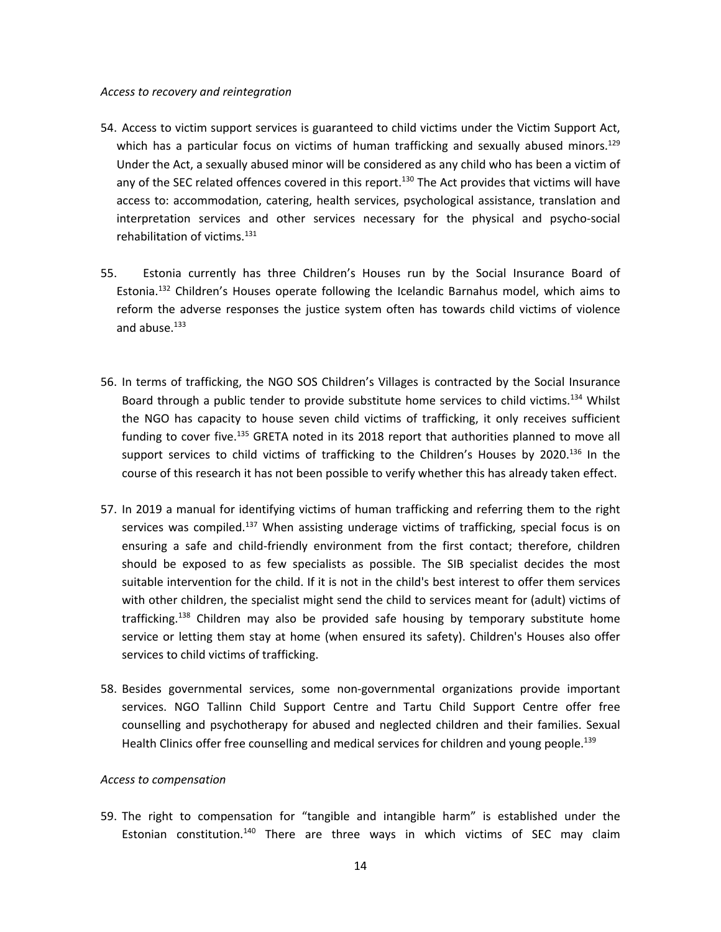#### *Access to recovery and reintegration*

- 54. Access to victim support services is guaranteed to child victims under the Victim Support Act, which has a particular focus on victims of human trafficking and sexually abused minors.<sup>129</sup> Under the Act, <sup>a</sup> sexually abused minor will be considered as any child who has been <sup>a</sup> victim of any of the SEC related offences covered in this report.<sup>130</sup> The Act provides that victims will have access to: accommodation, catering, health services, psychological assistance, translation and interpretation services and other services necessary for the physical and psycho-social rehabilitation of victims.<sup>131</sup>
- 55. Estonia currently has three Children'<sup>s</sup> Houses run by the Social Insurance Board of Estonia.<sup>132</sup> Children's Houses operate following the Icelandic Barnahus model, which aims to reform the adverse responses the justice system often has towards child victims of violence and abuse.<sup>133</sup>
- 56. In terms of trafficking, the NGO SOS Children'<sup>s</sup> Villages is contracted by the Social Insurance Board through a public tender to provide substitute home services to child victims.<sup>134</sup> Whilst the NGO has capacity to house seven child victims of trafficking, it only receives sufficient funding to cover five.<sup>135</sup> GRETA noted in its 2018 report that authorities planned to move all support services to child victims of trafficking to the Children's Houses by 2020.<sup>136</sup> In the course of this research it has not been possible to verify whether this has already taken effect.
- 57. In 2019 <sup>a</sup> manual for identifying victims of human trafficking and referring them to the right services was compiled.<sup>137</sup> When assisting underage victims of trafficking, special focus is on ensuring <sup>a</sup> safe and child-friendly environment from the first contact; therefore, children should be exposed to as few specialists as possible. The SIB specialist decides the most suitable intervention for the child. If it is not in the child's best interest to offer them services with other children, the specialist might send the child to services meant for (adult) victims of trafficking.<sup>138</sup> Children may also be provided safe housing by temporary substitute home service or letting them stay at home (when ensured its safety). Children's Houses also offer services to child victims of trafficking.
- 58. Besides governmental services, some non-governmental organizations provide important services. NGO Tallinn Child Support Centre and Tartu Child Support Centre offer free counselling and psychotherapy for abused and neglected children and their families. Sexual Health Clinics offer free counselling and medical services for children and young people.<sup>139</sup>

# *Access to compensation*

59. The right to compensation for "tangible and intangible harm" is established under the Estonian constitution.<sup>140</sup> There are three ways in which victims of SEC may claim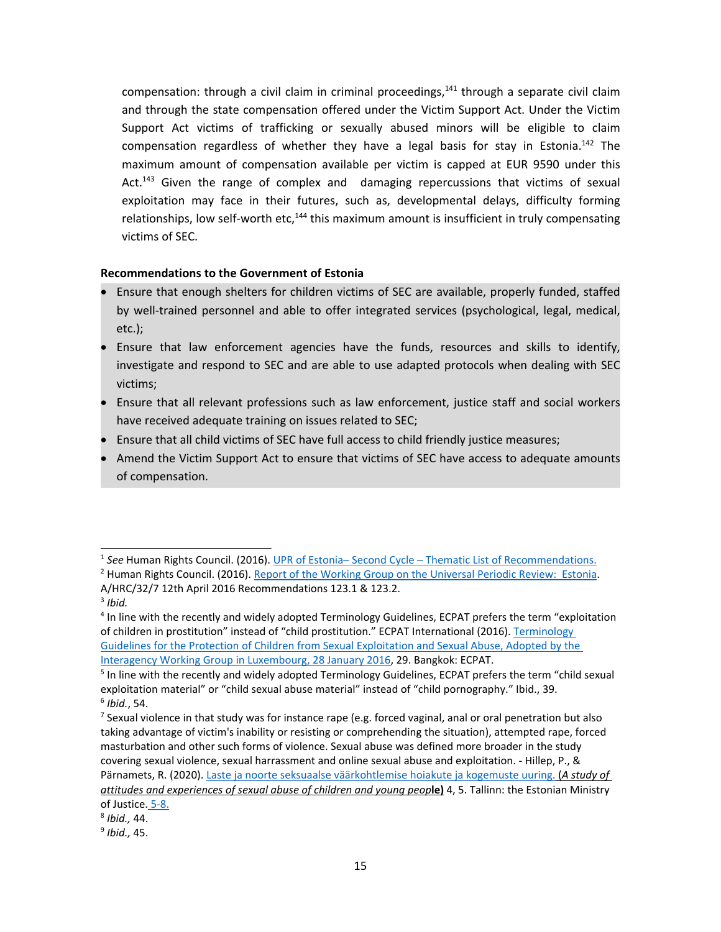compensation: through a civil claim in criminal proceedings,<sup>141</sup> through a separate civil claim and through the state compensation offered under the Victim Support Act. Under the Victim Support Act victims of trafficking or sexually abused minors will be eligible to claim compensation regardless of whether they have a legal basis for stay in Estonia.<sup>142</sup> The maximum amount of compensation available per victim is capped at EUR 9590 under this Act.<sup>143</sup> Given the range of complex and damaging repercussions that victims of sexual exploitation may face in their futures, such as, developmental delays, difficulty forming relationships, low self-worth etc,<sup>144</sup> this maximum amount is insufficient in truly compensating victims of SEC.

# **Recommendations to the Government of Estonia**

- C Ensure that enough shelters for children victims of SEC are available, properly funded, staffed by well-trained personnel and able to offer integrated services (psychological, legal, medical, etc.);
- C Ensure that law enforcement agencies have the funds, resources and skills to identify, investigate and respond to SEC and are able to use adapted protocols when dealing with SEC victims;
- Ensure that all relevant professions such as law enforcement, justice staff and social workers have received adequate training on issues related to SEC;
- Ensure that all child victims of SEC have full access to child friendly justice measures;
- C Amend the Victim Support Act to ensure that victims of SEC have access to adequate amounts of compensation.

<sup>1</sup> *See* Human Rights Council. (2016). UPR of Estonia– Second Cycle – Thematic List of [Recommendations.](http://lib.ohchr.org/HRBodies/UPR/Documents/session24/EE/UPR24_Estonia_recommendations.docx)

<sup>&</sup>lt;sup>2</sup> Human Rights Council. (2016). Report of the [Working](https://documents-dds-ny.un.org/doc/UNDOC/GEN/G16/075/43/PDF/G1607543.pdf?OpenElement) Group on the Universal Periodic Review: Estonia. A/HRC/32/7 12th April 2016 Recommendations 123.1 & 123.2.

<sup>3</sup> *Ibid.*

<sup>4</sup> In line with the recently and widely adopted Terminology Guidelines, ECPAT prefers the term "exploitation of children in prostitution" instead of "child prostitution." ECPAT International (2016). [Terminology](http://luxembourgguidelines.org/english-version/) Guidelines for the Protection of Children from Sexual [Exploitation](http://luxembourgguidelines.org/english-version/) and Sexual Abuse, Adopted by the Interagency Working Group in [Luxembourg,](http://luxembourgguidelines.org/english-version/) 28 January 2016, 29. Bangkok: ECPAT.

<sup>&</sup>lt;sup>5</sup> In line with the recently and widely adopted Terminology Guidelines, ECPAT prefers the term "child sexual exploitation material" or "child sexual abuse material" instead of "child pornography." Ibid., 39. 6 *Ibid.*, 54.

<sup>7</sup> Sexual violence in that study was for instance rape (e.g. forced vaginal, anal or oral penetration but also taking advantage of victim's inability or resisting or comprehending the situation), attempted rape, forced masturbation and other such forms of violence. Sexual abuse was defined more broader in the study covering sexual violence, sexual harrassment and online sexual abuse and exploitation. - Hillep, P., & Pärnamets, R. (2020). Laste ja noorte seksuaalse väärkohtlemise hoiakute ja [kogemuste](https://www.kriminaalpoliitika.ee/sites/krimipoliitika/files/elfinder/dokumendid/laste_ja_noorte_seksuaalse_vaarkohtlemise_uuring_2020_euk.pdf) uuring. (A study of *attitudes and experiences of sexual abuse of children and young peop***le)** 4, 5. Tallinn: the Estonian Ministry of Justice. 5-8.

<sup>8</sup> *Ibid.,* 44.

<sup>9</sup> *Ibid.,* 45.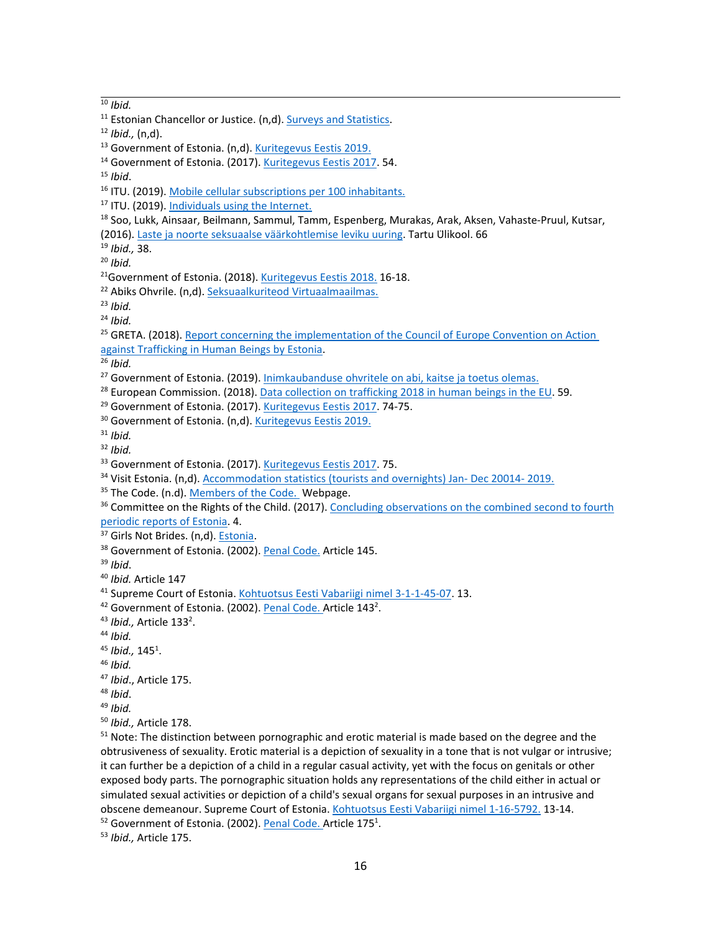10 *Ibid.*

15 *Ibid*.

```
subscriptions per 100 inhabitants.
```
- <sup>17</sup> ITU. (2019). [Individuals](https://www.itu.int/net4/ITU-D/icteye/#/topics/2001) using the Internet.
- <sup>18</sup> Soo, Lukk, Ainsaar, Beilmann, Sammul, Tamm, Espenberg, Murakas, Arak, Aksen, Vahaste-Pruul, Kutsar,
- (2016). Laste ja noorte seksuaalse vää[rkohtlemise](http://lft.ee/admin/upload/files/Noorte%20v��rkohtlemine%202016(1).pdf) leviku uuring. Tartu Ülikool. 66
- 19 *Ibid.,* 38.
- 20 *Ibid.*

- <sup>22</sup> Abiks Ohvrile. (n,d). Seksuaalkuriteod [Virtuaalmaailmas.](https://abiksohvrile.just.ee/et/mis-juhtus/seksuaalne-v%C3%A4%C3%A4rkohtlemine/seksuaalkuriteod-virtuaalmaailmas)
- 23 *Ibid.*
- 24 *Ibid.*

<sup>25</sup> GRETA. (2018). Report concerning the [implementation](https://rm.coe.int/greta-2018-6-fgr-est-en/16808b292c) of the Council of Europe Convention on Action against [Trafficking](https://rm.coe.int/greta-2018-6-fgr-est-en/16808b292c) in Human Beings by Estonia.

26 *Ibid.*

<sup>27</sup> Government of Estonia. (2019). <u>[Inimkaubanduse](https://www.ensib.ee/et/uudised/inimkaubanduse-ohvritele-abi-kaitse-ja-toetus-olemas) ohvritele on abi, kaitse ja toetus olemas.</u>

- <sup>28</sup> European Commission. (2018). <u>Data collection on [trafficking](https://ec.europa.eu/home-affairs/sites/homeaffairs/files/what-we-do/policies/european-agenda-security/20181204_data-collection-study.pdf) 2018 in human beings in the EU</u>. 59.
- <sup>29</sup> Government of Estonia. (2017). [Kuritegevus](https://www.kriminaalpoliitika.ee/sites/krimipoliitika/files/elfinder/dokumendid/kuritegevuseestis_2017_veebi01.pdf) Eestis 2017. 74-75.
- <sup>30</sup> Government of Estonia. (n,d). [Kuritegevus](https://www.kriminaalpoliitika.ee/kuritegevuse-statistika/inimkaubandus.html) Eestis 2019.

31 *Ibid.*

- 32 *Ibid.*
- <sup>33</sup> Government of Estonia. (2017). [Kuritegevus](https://www.kriminaalpoliitika.ee/sites/krimipoliitika/files/elfinder/dokumendid/kuritegevuseestis_2017_veebi01.pdf) Eestis 2017. 75.
- <sup>34</sup> Visit Estonia. (n,d). [Accommodation](https://static1.visitestonia.com/docs/3467667_maj-12k2019-mk.xlsx) statistics (tourists and overnights) Jan- Dec 20014- 2019.

<sup>35</sup> The Code. (n.d). [Members](http://www.thecode.org/who-have-signed/members/) of the Code. Webpage.

<sup>36</sup> Committee on the Rights of the Child. (2017). [Concluding](http://docstore.ohchr.org/SelfServices/FilesHandler.ashx?enc=6QkG1d%2fPPRiCAqhKb7yhsg8Y0p7NmOrn%2bdqGyNmmoTJeVxjF5T3Ulfn7jM2UvJ1B05nYqF8TnqFFFRRas2xSc7V3f10hdCG5Wwn7m8ua7y%2bDZn%2fLXzgZ78pRO%2f1mr1xt) observations on the combined second to fourth [periodic](http://docstore.ohchr.org/SelfServices/FilesHandler.ashx?enc=6QkG1d%2fPPRiCAqhKb7yhsg8Y0p7NmOrn%2bdqGyNmmoTJeVxjF5T3Ulfn7jM2UvJ1B05nYqF8TnqFFFRRas2xSc7V3f10hdCG5Wwn7m8ua7y%2bDZn%2fLXzgZ78pRO%2f1mr1xt) reports of Estonia. 4.

<sup>37</sup> Girls Not Brides. (n,d). [Estonia](https://www.girlsnotbrides.org/child-marriage/estonia/).

<sup>38</sup> Government of Estonia. (2002). <u>Penal [Code.](https://www.riigiteataja.ee/en/eli/506032020002/consolide)</u> Article 145.

39 *Ibid*.

- 40 *Ibid.* Article 147
- <sup>41</sup> Supreme Court of Estonia. Kohtuotsus Eesti Vabariigi nimel [3-1-1-45-07](https://www.riigikohus.ee/lahendid?asjaNr=3-1-1-45-07). 13.
- <sup>42</sup> Government of Estonia. (2002). Penal [Code.](https://www.riigiteataja.ee/en/eli/506032020002/consolide) Article 143<sup>2</sup>.
- <sup>43</sup> Ibid., Article 133<sup>2</sup>.

44 *Ibid.*

- <sup>45</sup> Ibid., 145<sup>1</sup>.
- 46 *Ibid.*

47 *Ibid*., Article 175.

- 48 *Ibid*.
- 49 *Ibid.*
- 50 *Ibid.,* Article 178.

<sup>51</sup> Note: The distinction between pornographic and erotic material is made based on the degree and the obtrusiveness of sexuality. Erotic material is <sup>a</sup> depiction of sexuality in <sup>a</sup> tone that is not vulgar or intrusive; it can further be <sup>a</sup> depiction of <sup>a</sup> child in <sup>a</sup> regular casual activity, yet with the focus on genitals or other exposed body parts. The pornographic situation holds any representations of the child either in actual or simulated sexual activities or depiction of <sup>a</sup> child's sexual organs for sexual purposes in an intrusive and obscene demeanour. Supreme Court of Estonia. [Kohtuotsus](https://www.riigiteataja.ee/kohtulahendid/fail.html?fid=217971168) Eesti Vabariigi nimel 1-16-5792. 13-14.

<sup>52</sup> Government of Estonia. (2002). Penal [Code.](https://www.riigiteataja.ee/en/eli/506032020002/consolide) Article 175<sup>1</sup>.

53 *Ibid.,* Article 175.

<sup>&</sup>lt;sup>11</sup> Estonian Chancellor or Justice. (n,d). [Surveys](https://www.oiguskantsler.ee/et/statistika-ja-uuringud) and Statistics.

<sup>12</sup> *Ibid.,* (n,d).

<sup>&</sup>lt;sup>13</sup> Government of Estonia. (n,d). [Kuritegevus](https://www.kriminaalpoliitika.ee/kuritegevuse-statistika/inimkaubandus.html) Eestis 2019.

<sup>&</sup>lt;sup>14</sup> Government of Estonia. (2017). [Kuritegevus](https://www.kriminaalpoliitika.ee/sites/krimipoliitika/files/elfinder/dokumendid/kuritegevuseestis_2017_veebi01.pdf) Eestis 2017. 54.

<sup>&</sup>lt;sup>21</sup>Government of Estonia. (2018). [Kuritegevus](https://www.kriminaalpoliitika.ee/sites/krimipoliitika/files/elfinder/dokumendid/kuritegevus_eestis_2018_viidetega_lisadele.pdf) Eestis 2018. 16-18.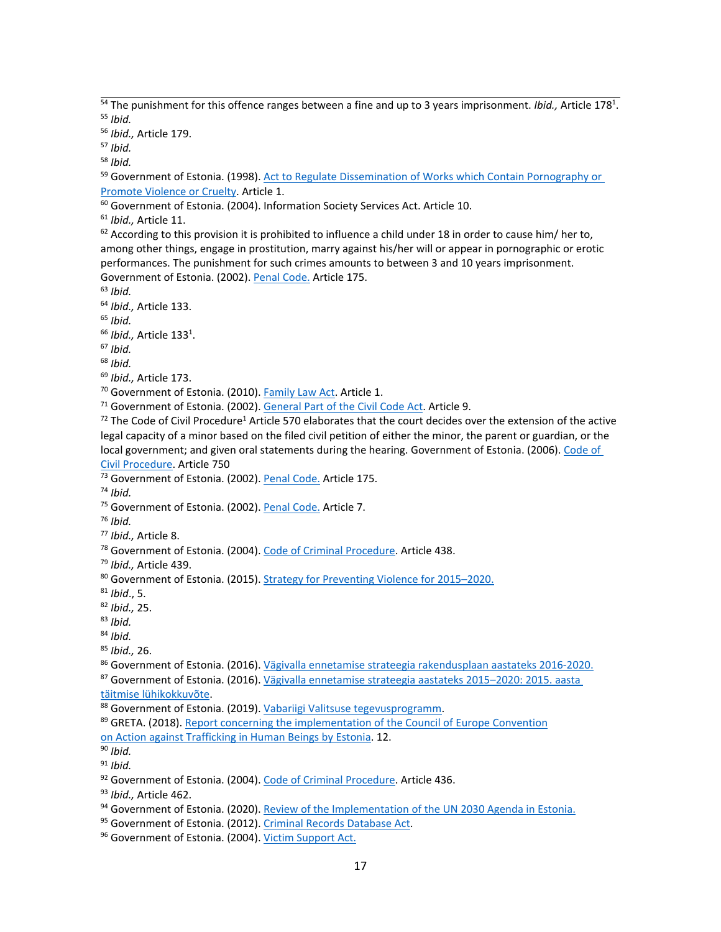<sup>54</sup> The punishment for this offence ranges between a fine and up to 3 years imprisonment. *Ibid.,* Article 178<sup>1</sup>. 55 *Ibid.*

56 *Ibid.,* Article 179.

57 *Ibid.*

58 *Ibid.*

<sup>59</sup> Government of Estonia. (1998). Act to Regulate Dissemination of Works which Contain [Pornography](https://www.riigiteataja.ee/en/eli/ee/520012015009/consolide/current) or Promote Violence or [Cruelty](https://www.riigiteataja.ee/en/eli/ee/520012015009/consolide/current). Article 1.

 $^{60}$  Government of Estonia. (2004). Information Society Services Act. Article 10.

61 *Ibid.,* Article 11.

 $^{62}$  According to this provision it is prohibited to influence a child under 18 in order to cause him/ her to, among other things, engage in prostitution, marry against his/her will or appear in pornographic or erotic performances. The punishment for such crimes amounts to between 3 and 10 years imprisonment. Government of Estonia. (2002). Penal [Code.](https://www.riigiteataja.ee/en/eli/506032020002/consolide) Article 175.

63 *Ibid.*

64 *Ibid.,* Article 133.

65 *Ibid.*

<sup>66</sup> I*bid.,* Article 133<sup>1</sup>.

67 *Ibid.*

68 *Ibid.*

69 *Ibid.,* Article 173.

<sup>70</sup> Government of Estonia. (2010). [Family](https://www.riigiteataja.ee/en/eli/ee/519062017013/consolide/current) Law Act. Article 1.

<sup>71</sup> Government of Estonia. (2002). [General](https://www.riigiteataja.ee/en/eli/ee/530102013019/consolide/current) Part of the Civil Code Act. Article 9.

<sup>72</sup> The Code of Civil Procedure<sup>1</sup> Article 570 elaborates that the court decides over the extension of the active legal capacity of <sup>a</sup> minor based on the filed civil petition of either the minor, the parent or guardian, or the local government; and given oral statements during the hearing. Government of Estonia. (2006). [Code](https://www.riigiteataja.ee/akt/120062020005?leiaKehtiv) of Civil [Procedure](https://www.riigiteataja.ee/akt/120062020005?leiaKehtiv). Article 750

<sup>73</sup> Government of Estonia. (2002). <u>Penal [Code.](https://www.riigiteataja.ee/en/eli/506032020002/consolide)</u> Article 175.

74 *Ibid.*

<sup>75</sup> Government of Estonia. (2002). Penal [Code.](https://www.riigiteataja.ee/en/eli/506032020002/consolide) Article 7.

76 *Ibid.*

77 *Ibid.,* Article 8.

<sup>78</sup> Government of Estonia. (2004). Code of Criminal [Procedure](https://www.riigiteataja.ee/en/eli/ee/530102013093/consolide/current). Article 438.

79 *Ibid.,* Article 439.

<sup>80</sup> Government of Estonia. (2015). Strategy for [Preventing](https://www.kriminaalpoliitika.ee/sites/krimipoliitika/files/elfinder/dokumendid/strategy_for_preventing_violence_for_2015-2020.pdf) Violence for 2015–2020.

81 *Ibid*., 5.

82 *Ibid.,* 25.

83 *Ibid.*

84 *Ibid.*

85 *Ibid.,* 26.

<sup>86</sup> Government of Estonia. (2016). <u>Vägivalla ennetamise strateegia [rakendusplaan](https://www.kriminaalpoliitika.ee/sites/krimipoliitika/files/elfinder/dokumendid/ves_rakendusplaan_2016-2020_loplik.xlsx) aastateks 2016-2020.</u> <sup>87</sup> Government of Estonia. (2016). Vägivalla ennetamise [strateegia](https://www.valitsus.ee/sites/default/files/content-editors/arengukavad/ves_2015._aasta_luhikokkuvote_kinnitatud.pdf) aastateks 2015–2020: 2015. aasta

täitmise [lühikokkuvõte](https://www.valitsus.ee/sites/default/files/content-editors/arengukavad/ves_2015._aasta_luhikokkuvote_kinnitatud.pdf).

88 Government of Estonia. (2019). Vabariigi Valitsuse [tegevusprogramm](https://www.valitsus.ee/sites/default/files/content-editors/valitsus/RataseIIvalitsus/vabariigi_valitsuse_tegevusprogramm_2019-2023_7.5.2020_0.pdf).

<sup>89</sup> GRETA. (2018). <u>Report concerning the [implementation](https://rm.coe.int/greta-2018-6-fgr-est-en/16808b292c) of the Council of Europe Convention</u>

on Action against [Trafficking](https://rm.coe.int/greta-2018-6-fgr-est-en/16808b292c) in Human Beings by Estonia. 12.

90 *Ibid.*

91 *Ibid.*

<sup>92</sup> Government of Estonia. (2004). Code of Criminal [Procedure](https://www.riigiteataja.ee/en/eli/ee/530102013093/consolide/current). Article 436.

93 *Ibid.,* Article 462.

<sup>94</sup> Government of Estonia. (2020). Review of the [Implementation](https://sustainabledevelopment.un.org/content/documents/26285VNR_2020_Estonia_Report.pdf) of the UN 2030 Agenda in Estonia.

<sup>95</sup> Government of Estonia. (2012). Criminal Records [Database](https://www.riigiteataja.ee/en/eli/501042019021/consolide) Act.

<sup>96</sup> Government of Estonia. (2004). <u>Victim [Support](https://www.riigiteataja.ee/en/eli/ee/Riigikogu/act/502012017002/consolide) Act</u>.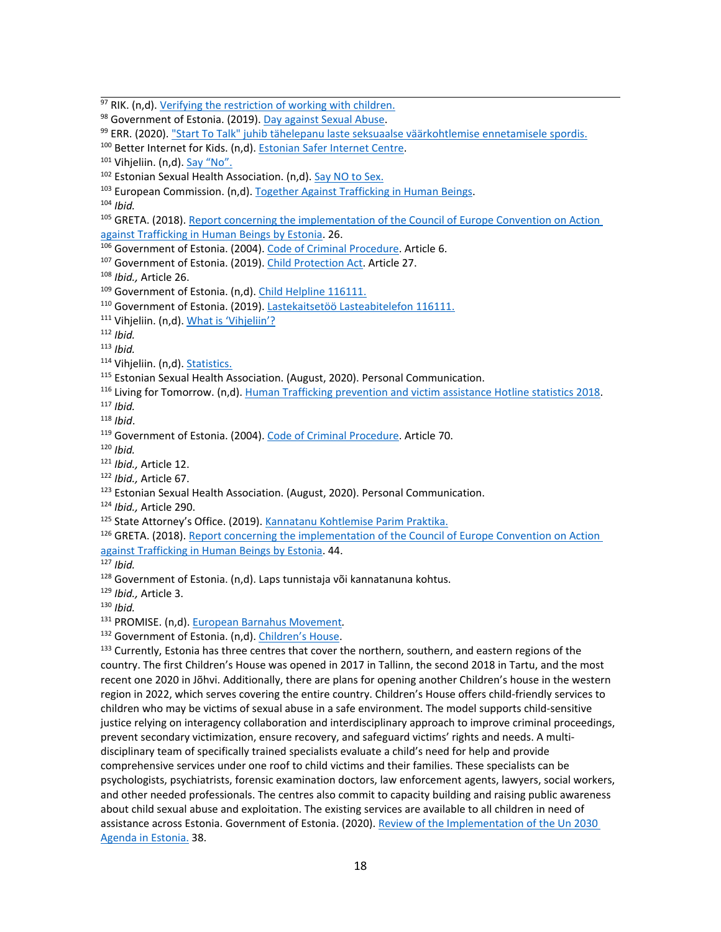<sup>97</sup> RIK. (n,d). <u>[Verifying](https://www.rik.ee/en/criminal-records-database/verifying-restriction-working-children) the restriction of working with children.</u> <sup>98</sup> Government of Estonia. (2019). Day [against](https://www.just.ee/et/seksuaalse-vaarkohtlemise-vastane-paev) Sexual Abuse. <sup>99</sup> ERR. (2020). <u>"Start To Talk" juhib tähelepanu laste seksuaalse [väärkohtlemise](https://sport.err.ee/1096976/start-to-talk-juhib-tahelepanu-laste-seksuaalse-vaarkohtlemise-ennetamisele-spordis) ennetamisele spordis.</u> <sup>100</sup> Better Internet for Kids. (n,d). [Estonian](https://www.betterinternetforkids.eu/web/estonia/profile) Safer Internet Centre. <sup>101</sup> Vihjeliin. (n,d). <u>[Say](https://vihjeliin.targaltinternetis.ee/en/say-no/) "No"</u>. <sup>102</sup> Estonian Sexual Health Association. (n,d). [Say](http://www.estl.ee/seksei/) NO to Sex. <sup>103</sup> European Commission. (n,d). Together Against [Trafficking](https://ec.europa.eu/anti-trafficking/member-states/estonia_en) in Human Beings. 104 *Ibid.* <sup>105</sup> GRETA. (2018). Report concerning the [implementation](https://rm.coe.int/greta-2018-6-fgr-est-en/16808b292c) of the Council of Europe Convention on Action against [Trafficking](https://rm.coe.int/greta-2018-6-fgr-est-en/16808b292c) in Human Beings by Estonia. 26. <sup>106</sup> Government of Estonia. (2004). Code of Criminal [Procedure](https://www.riigiteataja.ee/en/eli/ee/530102013093/consolide/current). Article 6. <sup>107</sup> Government of Estonia. (2019). Child [Protection](https://www.riigiteataja.ee/en/eli/511012019009/consolide) Act. Article 27. 108 *Ibid.,* Article 26. <sup>109</sup> Government of Estonia. (n,d). <u>Child [Helpline](https://www.sotsiaalkindlustusamet.ee/en/child-helpline-116111) 116111</u>. <sup>110</sup> Government of Estonia. (2019). <u>Lastekaitsetöö [Lasteabitelefon](https://www.ratsaliit.ee/wp-content/uploads/Lastekaitset%C3%B6%C3%B6_2019.pdf) 116111.</u> <sup>111</sup> [Vihjeliin](https://vihjeliin.targaltinternetis.ee/en/). (n,d). <u>What is 'Vihjeliin'?</u> 112 *Ibid.* 113 *Ibid.* <sup>114</sup> Vihjeliin. (n,d). <u>Statistics</u>. <sup>115</sup> Estonian Sexual Health Association. (August, 2020). Personal Communication. <sup>116</sup> Living for Tomorrow. (n,d). Human [Trafficking](http://lft.ee/admin/upload/files/Kokku%202018%20est.pdf) prevention and victim assistance Hotline statistics 2018. 117 *Ibid.* 118 *Ibid*. <sup>119</sup> Government of Estonia. (2004). <u>Code of Criminal [Procedure](https://www.riigiteataja.ee/en/eli/ee/530102013093/consolide/current)</u>. Article 70. 120 *Ibid.* 121 *Ibid.,* Article 12. 122 *Ibid.,* Article 67. <sup>123</sup> Estonian Sexual Health Association. (August, 2020). Personal Communication. 124 *Ibid.,* Article 290. <sup>125</sup> State Attorney's Office. (2019). <u>Kannatanu [Kohtlemise](https://aastaraamat.prokuratuur.ee/sites/default/files/inline-files/Kannatanu.pdf) Parim Praktika</u>. <sup>126</sup> GRETA. (2018). Report concerning the [implementation](https://rm.coe.int/greta-2018-6-fgr-est-en/16808b292c) of the Council of Europe Convention on Action against [Trafficking](https://rm.coe.int/greta-2018-6-fgr-est-en/16808b292c) in Human Beings by Estonia. 44. 127 *Ibid.*  $^{128}$  Government of Estonia. (n,d). Laps tunnistaja või kannatanuna kohtus. 129 *Ibid.,* Article 3. 130 *Ibid.* 131 PROMISE. (n,d). [European](https://www.childrenatrisk.eu/promise/eubarnahus/) Barnahus Movement*.* <sup>132</sup> Government of Estonia. (n,d). [Children](https://www.sotsiaalkindlustusamet.ee/en/family-and-child-protection/childrens-house)'s House. <sup>133</sup> Currently, Estonia has three centres that cover the northern, southern, and eastern regions of the country. The first Children'<sup>s</sup> House was opened in 2017 in Tallinn, the second 2018 in Tartu, and the most recent one 2020 in Jõhvi. Additionally, there are plans for opening another Children'<sup>s</sup> house in the western region in 2022, which serves covering the entire country. Children'<sup>s</sup> House offers child-friendly services to children who may be victims of sexual abuse in <sup>a</sup> safe environment. The model supports child-sensitive justice relying on interagency collaboration and interdisciplinary approach to improve criminal proceedings, prevent secondary victimization, ensure recovery, and safeguard victims' rights and needs. A multidisciplinary team of specifically trained specialists evaluate <sup>a</sup> child'<sup>s</sup> need for help and provide comprehensive services under one roof to child victims and their families. These specialists can be

psychologists, psychiatrists, forensic examination doctors, law enforcement agents, lawyers, social workers, and other needed professionals. The centres also commit to capacity building and raising public awareness about child sexual abuse and exploitation. The existing services are available to all children in need of assistance across Estonia. Government of Estonia. (2020). Review of the [Implementation](https://sustainabledevelopment.un.org/content/documents/26285VNR_2020_Estonia_Report.pdf) of the Un 2030 [Agenda](https://sustainabledevelopment.un.org/content/documents/26285VNR_2020_Estonia_Report.pdf) in Estonia. 38.